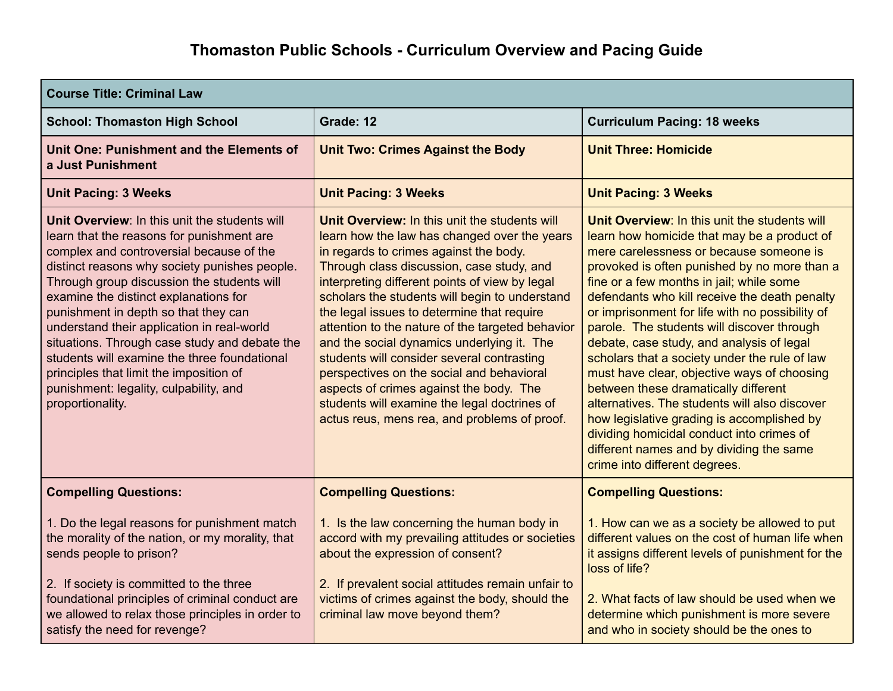| <b>Course Title: Criminal Law</b>                                                                                                                                                                                                                                                                                                                                                                                                                                                                                                                                              |                                                                                                                                                                                                                                                                                                                                                                                                                                                                                                                                                                                                                                                                                |                                                                                                                                                                                                                                                                                                                                                                                                                                                                                                                                                                                                                                                                                                                                                                                                     |
|--------------------------------------------------------------------------------------------------------------------------------------------------------------------------------------------------------------------------------------------------------------------------------------------------------------------------------------------------------------------------------------------------------------------------------------------------------------------------------------------------------------------------------------------------------------------------------|--------------------------------------------------------------------------------------------------------------------------------------------------------------------------------------------------------------------------------------------------------------------------------------------------------------------------------------------------------------------------------------------------------------------------------------------------------------------------------------------------------------------------------------------------------------------------------------------------------------------------------------------------------------------------------|-----------------------------------------------------------------------------------------------------------------------------------------------------------------------------------------------------------------------------------------------------------------------------------------------------------------------------------------------------------------------------------------------------------------------------------------------------------------------------------------------------------------------------------------------------------------------------------------------------------------------------------------------------------------------------------------------------------------------------------------------------------------------------------------------------|
| <b>School: Thomaston High School</b>                                                                                                                                                                                                                                                                                                                                                                                                                                                                                                                                           | Grade: 12                                                                                                                                                                                                                                                                                                                                                                                                                                                                                                                                                                                                                                                                      | <b>Curriculum Pacing: 18 weeks</b>                                                                                                                                                                                                                                                                                                                                                                                                                                                                                                                                                                                                                                                                                                                                                                  |
| Unit One: Punishment and the Elements of<br>a Just Punishment                                                                                                                                                                                                                                                                                                                                                                                                                                                                                                                  | <b>Unit Two: Crimes Against the Body</b>                                                                                                                                                                                                                                                                                                                                                                                                                                                                                                                                                                                                                                       | <b>Unit Three: Homicide</b>                                                                                                                                                                                                                                                                                                                                                                                                                                                                                                                                                                                                                                                                                                                                                                         |
| <b>Unit Pacing: 3 Weeks</b>                                                                                                                                                                                                                                                                                                                                                                                                                                                                                                                                                    | <b>Unit Pacing: 3 Weeks</b>                                                                                                                                                                                                                                                                                                                                                                                                                                                                                                                                                                                                                                                    | <b>Unit Pacing: 3 Weeks</b>                                                                                                                                                                                                                                                                                                                                                                                                                                                                                                                                                                                                                                                                                                                                                                         |
| Unit Overview: In this unit the students will<br>learn that the reasons for punishment are<br>complex and controversial because of the<br>distinct reasons why society punishes people.<br>Through group discussion the students will<br>examine the distinct explanations for<br>punishment in depth so that they can<br>understand their application in real-world<br>situations. Through case study and debate the<br>students will examine the three foundational<br>principles that limit the imposition of<br>punishment: legality, culpability, and<br>proportionality. | Unit Overview: In this unit the students will<br>learn how the law has changed over the years<br>in regards to crimes against the body.<br>Through class discussion, case study, and<br>interpreting different points of view by legal<br>scholars the students will begin to understand<br>the legal issues to determine that require<br>attention to the nature of the targeted behavior<br>and the social dynamics underlying it. The<br>students will consider several contrasting<br>perspectives on the social and behavioral<br>aspects of crimes against the body. The<br>students will examine the legal doctrines of<br>actus reus, mens rea, and problems of proof. | Unit Overview: In this unit the students will<br>learn how homicide that may be a product of<br>mere carelessness or because someone is<br>provoked is often punished by no more than a<br>fine or a few months in jail; while some<br>defendants who kill receive the death penalty<br>or imprisonment for life with no possibility of<br>parole. The students will discover through<br>debate, case study, and analysis of legal<br>scholars that a society under the rule of law<br>must have clear, objective ways of choosing<br>between these dramatically different<br>alternatives. The students will also discover<br>how legislative grading is accomplished by<br>dividing homicidal conduct into crimes of<br>different names and by dividing the same<br>crime into different degrees. |
| <b>Compelling Questions:</b>                                                                                                                                                                                                                                                                                                                                                                                                                                                                                                                                                   | <b>Compelling Questions:</b>                                                                                                                                                                                                                                                                                                                                                                                                                                                                                                                                                                                                                                                   | <b>Compelling Questions:</b>                                                                                                                                                                                                                                                                                                                                                                                                                                                                                                                                                                                                                                                                                                                                                                        |
| 1. Do the legal reasons for punishment match<br>the morality of the nation, or my morality, that<br>sends people to prison?                                                                                                                                                                                                                                                                                                                                                                                                                                                    | 1. Is the law concerning the human body in<br>accord with my prevailing attitudes or societies<br>about the expression of consent?                                                                                                                                                                                                                                                                                                                                                                                                                                                                                                                                             | 1. How can we as a society be allowed to put<br>different values on the cost of human life when<br>it assigns different levels of punishment for the<br>loss of life?                                                                                                                                                                                                                                                                                                                                                                                                                                                                                                                                                                                                                               |
| 2. If society is committed to the three<br>foundational principles of criminal conduct are<br>we allowed to relax those principles in order to<br>satisfy the need for revenge?                                                                                                                                                                                                                                                                                                                                                                                                | 2. If prevalent social attitudes remain unfair to<br>victims of crimes against the body, should the<br>criminal law move beyond them?                                                                                                                                                                                                                                                                                                                                                                                                                                                                                                                                          | 2. What facts of law should be used when we<br>determine which punishment is more severe<br>and who in society should be the ones to                                                                                                                                                                                                                                                                                                                                                                                                                                                                                                                                                                                                                                                                |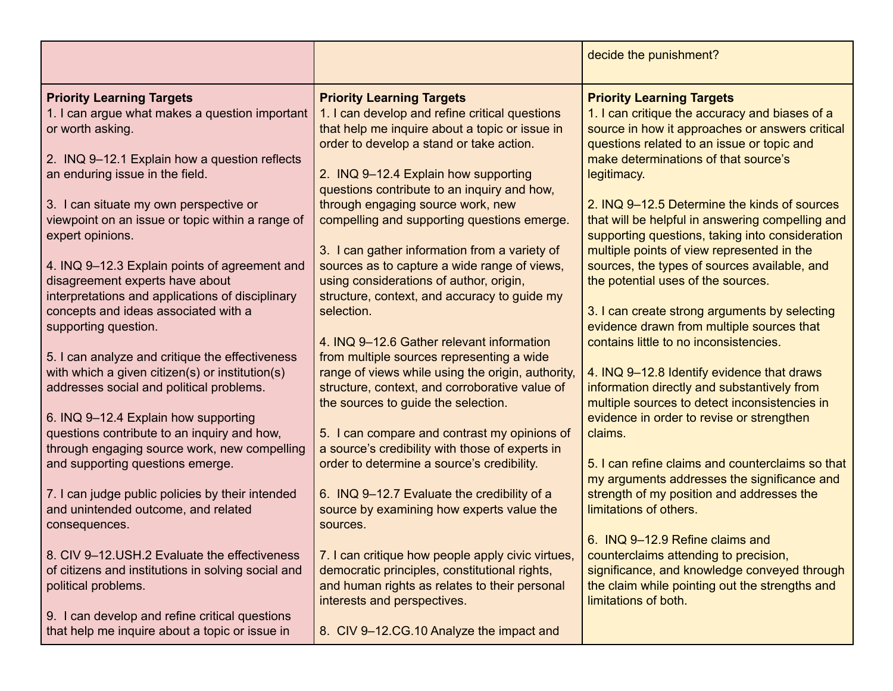|                                                                                                                                                                                                                                                                                                                                                                                                                                                                                                                                                                                                                                                                                                                                                                                                                                                   |                                                                                                                                                                                                                                                                                                                                                                                                                                                                                                                                                                                                                                                                                                                                                                                                                                                                                                                                                                | decide the punishment?                                                                                                                                                                                                                                                                                                                                                                                                                                                                                                                                                                                                                                                                                                                                                                                                                                                                                                                  |
|---------------------------------------------------------------------------------------------------------------------------------------------------------------------------------------------------------------------------------------------------------------------------------------------------------------------------------------------------------------------------------------------------------------------------------------------------------------------------------------------------------------------------------------------------------------------------------------------------------------------------------------------------------------------------------------------------------------------------------------------------------------------------------------------------------------------------------------------------|----------------------------------------------------------------------------------------------------------------------------------------------------------------------------------------------------------------------------------------------------------------------------------------------------------------------------------------------------------------------------------------------------------------------------------------------------------------------------------------------------------------------------------------------------------------------------------------------------------------------------------------------------------------------------------------------------------------------------------------------------------------------------------------------------------------------------------------------------------------------------------------------------------------------------------------------------------------|-----------------------------------------------------------------------------------------------------------------------------------------------------------------------------------------------------------------------------------------------------------------------------------------------------------------------------------------------------------------------------------------------------------------------------------------------------------------------------------------------------------------------------------------------------------------------------------------------------------------------------------------------------------------------------------------------------------------------------------------------------------------------------------------------------------------------------------------------------------------------------------------------------------------------------------------|
| <b>Priority Learning Targets</b><br>1. I can argue what makes a question important<br>or worth asking.<br>2. INQ 9-12.1 Explain how a question reflects<br>an enduring issue in the field.<br>3. I can situate my own perspective or<br>viewpoint on an issue or topic within a range of<br>expert opinions.<br>4. INQ 9-12.3 Explain points of agreement and<br>disagreement experts have about<br>interpretations and applications of disciplinary<br>concepts and ideas associated with a<br>supporting question.<br>5. I can analyze and critique the effectiveness<br>with which a given citizen(s) or institution(s)<br>addresses social and political problems.<br>6. INQ 9-12.4 Explain how supporting<br>questions contribute to an inquiry and how,<br>through engaging source work, new compelling<br>and supporting questions emerge. | <b>Priority Learning Targets</b><br>1. I can develop and refine critical questions<br>that help me inquire about a topic or issue in<br>order to develop a stand or take action.<br>2. INQ 9-12.4 Explain how supporting<br>questions contribute to an inquiry and how,<br>through engaging source work, new<br>compelling and supporting questions emerge.<br>3. I can gather information from a variety of<br>sources as to capture a wide range of views,<br>using considerations of author, origin,<br>structure, context, and accuracy to guide my<br>selection.<br>4. INQ 9-12.6 Gather relevant information<br>from multiple sources representing a wide<br>range of views while using the origin, authority,<br>structure, context, and corroborative value of<br>the sources to guide the selection.<br>5. I can compare and contrast my opinions of<br>a source's credibility with those of experts in<br>order to determine a source's credibility. | <b>Priority Learning Targets</b><br>1. I can critique the accuracy and biases of a<br>source in how it approaches or answers critical<br>questions related to an issue or topic and<br>make determinations of that source's<br>legitimacy.<br>2. INQ 9-12.5 Determine the kinds of sources<br>that will be helpful in answering compelling and<br>supporting questions, taking into consideration<br>multiple points of view represented in the<br>sources, the types of sources available, and<br>the potential uses of the sources.<br>3. I can create strong arguments by selecting<br>evidence drawn from multiple sources that<br>contains little to no inconsistencies.<br>4. INQ 9-12.8 Identify evidence that draws<br>information directly and substantively from<br>multiple sources to detect inconsistencies in<br>evidence in order to revise or strengthen<br>claims.<br>5. I can refine claims and counterclaims so that |
| 7. I can judge public policies by their intended<br>and unintended outcome, and related<br>consequences.                                                                                                                                                                                                                                                                                                                                                                                                                                                                                                                                                                                                                                                                                                                                          | 6. INQ 9-12.7 Evaluate the credibility of a<br>source by examining how experts value the<br>sources.                                                                                                                                                                                                                                                                                                                                                                                                                                                                                                                                                                                                                                                                                                                                                                                                                                                           | my arguments addresses the significance and<br>strength of my position and addresses the<br>limitations of others.                                                                                                                                                                                                                                                                                                                                                                                                                                                                                                                                                                                                                                                                                                                                                                                                                      |
| 8. CIV 9-12.USH.2 Evaluate the effectiveness<br>of citizens and institutions in solving social and<br>political problems.<br>9. I can develop and refine critical questions                                                                                                                                                                                                                                                                                                                                                                                                                                                                                                                                                                                                                                                                       | 7. I can critique how people apply civic virtues,<br>democratic principles, constitutional rights,<br>and human rights as relates to their personal<br>interests and perspectives.                                                                                                                                                                                                                                                                                                                                                                                                                                                                                                                                                                                                                                                                                                                                                                             | 6. INQ 9-12.9 Refine claims and<br>counterclaims attending to precision,<br>significance, and knowledge conveyed through<br>the claim while pointing out the strengths and<br>limitations of both.                                                                                                                                                                                                                                                                                                                                                                                                                                                                                                                                                                                                                                                                                                                                      |
| that help me inquire about a topic or issue in                                                                                                                                                                                                                                                                                                                                                                                                                                                                                                                                                                                                                                                                                                                                                                                                    | 8. CIV 9-12.CG.10 Analyze the impact and                                                                                                                                                                                                                                                                                                                                                                                                                                                                                                                                                                                                                                                                                                                                                                                                                                                                                                                       |                                                                                                                                                                                                                                                                                                                                                                                                                                                                                                                                                                                                                                                                                                                                                                                                                                                                                                                                         |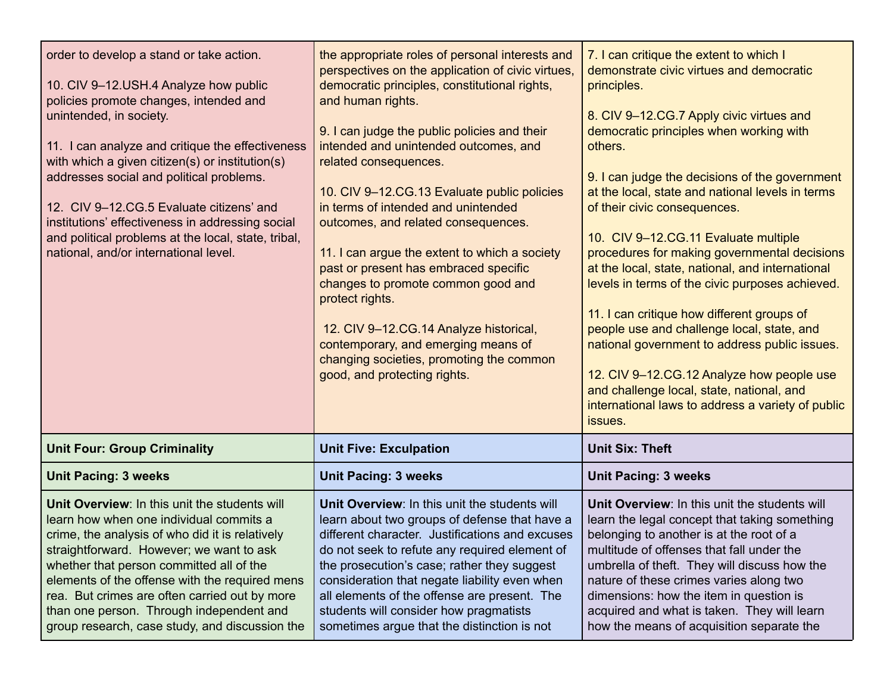| order to develop a stand or take action.<br>10. CIV 9-12.USH.4 Analyze how public<br>policies promote changes, intended and<br>unintended, in society.<br>11. I can analyze and critique the effectiveness<br>with which a given citizen(s) or institution(s)<br>addresses social and political problems.<br>12. CIV 9-12.CG.5 Evaluate citizens' and<br>institutions' effectiveness in addressing social<br>and political problems at the local, state, tribal,<br>national, and/or international level. | the appropriate roles of personal interests and<br>perspectives on the application of civic virtues,<br>democratic principles, constitutional rights,<br>and human rights.<br>9. I can judge the public policies and their<br>intended and unintended outcomes, and<br>related consequences.<br>10. CIV 9-12.CG.13 Evaluate public policies<br>in terms of intended and unintended<br>outcomes, and related consequences.<br>11. I can argue the extent to which a society<br>past or present has embraced specific<br>changes to promote common good and<br>protect rights.<br>12. CIV 9-12.CG.14 Analyze historical,<br>contemporary, and emerging means of<br>changing societies, promoting the common<br>good, and protecting rights. | 7. I can critique the extent to which I<br>demonstrate civic virtues and democratic<br>principles.<br>8. CIV 9-12.CG.7 Apply civic virtues and<br>democratic principles when working with<br>others.<br>9. I can judge the decisions of the government<br>at the local, state and national levels in terms<br>of their civic consequences.<br>10. CIV 9-12.CG.11 Evaluate multiple<br>procedures for making governmental decisions<br>at the local, state, national, and international<br>levels in terms of the civic purposes achieved.<br>11. I can critique how different groups of<br>people use and challenge local, state, and<br>national government to address public issues.<br>12. CIV 9-12.CG.12 Analyze how people use<br>and challenge local, state, national, and<br>international laws to address a variety of public |
|-----------------------------------------------------------------------------------------------------------------------------------------------------------------------------------------------------------------------------------------------------------------------------------------------------------------------------------------------------------------------------------------------------------------------------------------------------------------------------------------------------------|-------------------------------------------------------------------------------------------------------------------------------------------------------------------------------------------------------------------------------------------------------------------------------------------------------------------------------------------------------------------------------------------------------------------------------------------------------------------------------------------------------------------------------------------------------------------------------------------------------------------------------------------------------------------------------------------------------------------------------------------|---------------------------------------------------------------------------------------------------------------------------------------------------------------------------------------------------------------------------------------------------------------------------------------------------------------------------------------------------------------------------------------------------------------------------------------------------------------------------------------------------------------------------------------------------------------------------------------------------------------------------------------------------------------------------------------------------------------------------------------------------------------------------------------------------------------------------------------|
|                                                                                                                                                                                                                                                                                                                                                                                                                                                                                                           |                                                                                                                                                                                                                                                                                                                                                                                                                                                                                                                                                                                                                                                                                                                                           | issues.                                                                                                                                                                                                                                                                                                                                                                                                                                                                                                                                                                                                                                                                                                                                                                                                                               |
| <b>Unit Four: Group Criminality</b>                                                                                                                                                                                                                                                                                                                                                                                                                                                                       | <b>Unit Five: Exculpation</b>                                                                                                                                                                                                                                                                                                                                                                                                                                                                                                                                                                                                                                                                                                             | <b>Unit Six: Theft</b>                                                                                                                                                                                                                                                                                                                                                                                                                                                                                                                                                                                                                                                                                                                                                                                                                |
| <b>Unit Pacing: 3 weeks</b>                                                                                                                                                                                                                                                                                                                                                                                                                                                                               | <b>Unit Pacing: 3 weeks</b>                                                                                                                                                                                                                                                                                                                                                                                                                                                                                                                                                                                                                                                                                                               | <b>Unit Pacing: 3 weeks</b>                                                                                                                                                                                                                                                                                                                                                                                                                                                                                                                                                                                                                                                                                                                                                                                                           |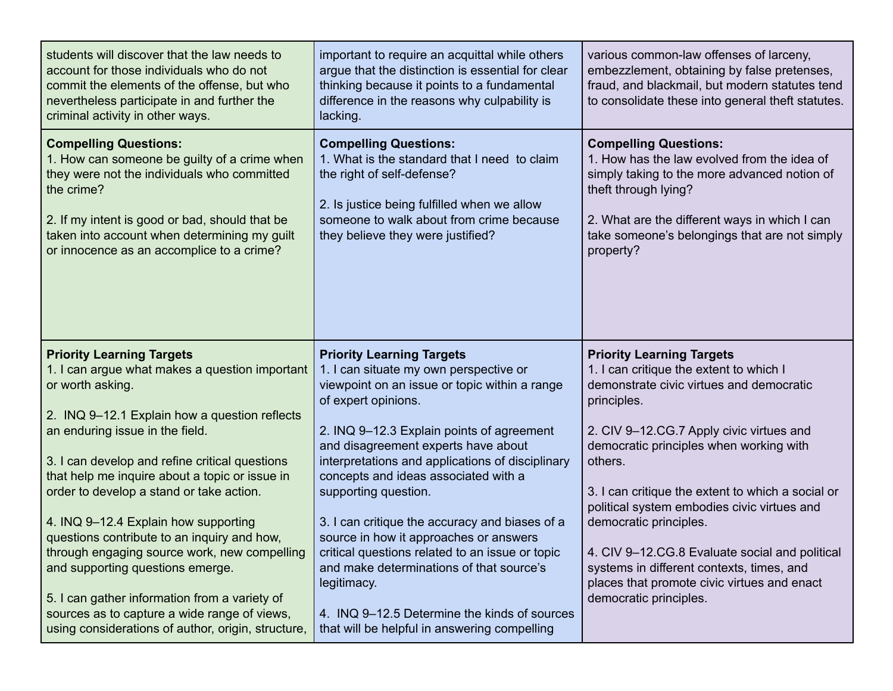| students will discover that the law needs to<br>account for those individuals who do not<br>commit the elements of the offense, but who<br>nevertheless participate in and further the<br>criminal activity in other ways.                                                                                                                                                                                                                                                                                                                                                                                             | important to require an acquittal while others<br>argue that the distinction is essential for clear<br>thinking because it points to a fundamental<br>difference in the reasons why culpability is<br>lacking.                                                                                                                                                                                                                                                                                                                                                       | various common-law offenses of larceny,<br>embezzlement, obtaining by false pretenses,<br>fraud, and blackmail, but modern statutes tend<br>to consolidate these into general theft statutes.                                                                                                                                                                                                                                                                                                                                                  |
|------------------------------------------------------------------------------------------------------------------------------------------------------------------------------------------------------------------------------------------------------------------------------------------------------------------------------------------------------------------------------------------------------------------------------------------------------------------------------------------------------------------------------------------------------------------------------------------------------------------------|----------------------------------------------------------------------------------------------------------------------------------------------------------------------------------------------------------------------------------------------------------------------------------------------------------------------------------------------------------------------------------------------------------------------------------------------------------------------------------------------------------------------------------------------------------------------|------------------------------------------------------------------------------------------------------------------------------------------------------------------------------------------------------------------------------------------------------------------------------------------------------------------------------------------------------------------------------------------------------------------------------------------------------------------------------------------------------------------------------------------------|
| <b>Compelling Questions:</b><br>1. How can someone be guilty of a crime when<br>they were not the individuals who committed<br>the crime?<br>2. If my intent is good or bad, should that be<br>taken into account when determining my guilt<br>or innocence as an accomplice to a crime?                                                                                                                                                                                                                                                                                                                               | <b>Compelling Questions:</b><br>1. What is the standard that I need to claim<br>the right of self-defense?<br>2. Is justice being fulfilled when we allow<br>someone to walk about from crime because<br>they believe they were justified?                                                                                                                                                                                                                                                                                                                           | <b>Compelling Questions:</b><br>1. How has the law evolved from the idea of<br>simply taking to the more advanced notion of<br>theft through lying?<br>2. What are the different ways in which I can<br>take someone's belongings that are not simply<br>property?                                                                                                                                                                                                                                                                             |
| <b>Priority Learning Targets</b><br>1. I can argue what makes a question important<br>or worth asking.<br>2. INQ 9-12.1 Explain how a question reflects<br>an enduring issue in the field.<br>3. I can develop and refine critical questions<br>that help me inquire about a topic or issue in<br>order to develop a stand or take action.<br>4. INQ 9-12.4 Explain how supporting<br>questions contribute to an inquiry and how,<br>through engaging source work, new compelling<br>and supporting questions emerge.<br>5. I can gather information from a variety of<br>sources as to capture a wide range of views, | <b>Priority Learning Targets</b><br>1. I can situate my own perspective or<br>viewpoint on an issue or topic within a range<br>of expert opinions.<br>2. INQ 9-12.3 Explain points of agreement<br>and disagreement experts have about<br>interpretations and applications of disciplinary<br>concepts and ideas associated with a<br>supporting question.<br>3. I can critique the accuracy and biases of a<br>source in how it approaches or answers<br>critical questions related to an issue or topic<br>and make determinations of that source's<br>legitimacy. | <b>Priority Learning Targets</b><br>1. I can critique the extent to which I<br>demonstrate civic virtues and democratic<br>principles.<br>2. CIV 9-12.CG.7 Apply civic virtues and<br>democratic principles when working with<br>others.<br>3. I can critique the extent to which a social or<br>political system embodies civic virtues and<br>democratic principles.<br>4. CIV 9-12.CG.8 Evaluate social and political<br>systems in different contexts, times, and<br>places that promote civic virtues and enact<br>democratic principles. |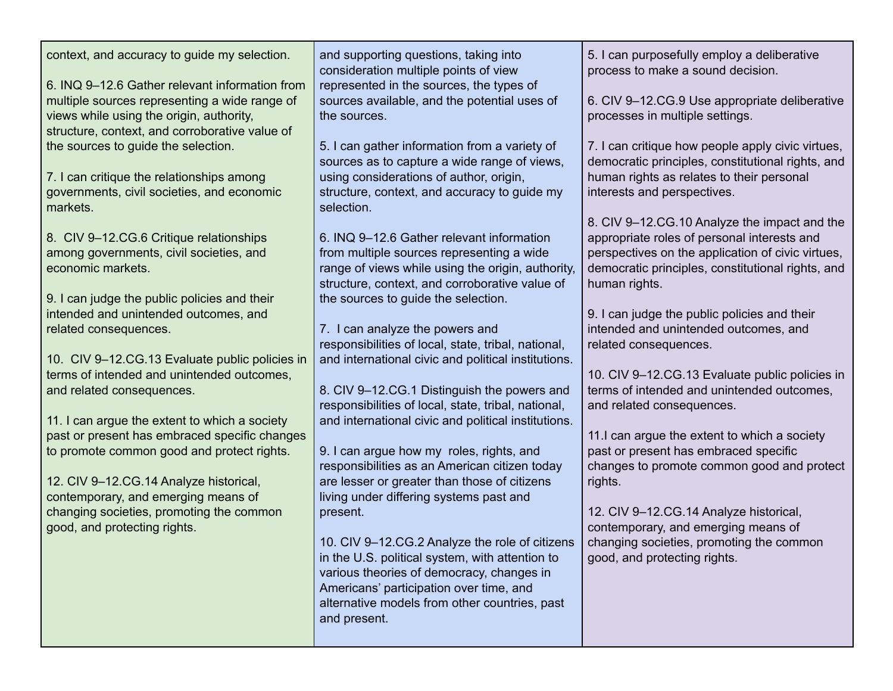| context, and accuracy to guide my selection.<br>6. INQ 9-12.6 Gather relevant information from<br>multiple sources representing a wide range of<br>views while using the origin, authority,<br>structure, context, and corroborative value of<br>the sources to guide the selection.<br>7. I can critique the relationships among<br>governments, civil societies, and economic<br>markets.<br>8. CIV 9-12.CG.6 Critique relationships<br>among governments, civil societies, and<br>economic markets.<br>9. I can judge the public policies and their<br>intended and unintended outcomes, and<br>related consequences.<br>10. CIV 9-12.CG.13 Evaluate public policies in<br>terms of intended and unintended outcomes,<br>and related consequences.<br>11. I can argue the extent to which a society<br>past or present has embraced specific changes<br>to promote common good and protect rights.<br>12. CIV 9-12.CG.14 Analyze historical,<br>contemporary, and emerging means of<br>changing societies, promoting the common<br>good, and protecting rights. | and supporting questions, taking into<br>consideration multiple points of view<br>represented in the sources, the types of<br>sources available, and the potential uses of<br>the sources.<br>5. I can gather information from a variety of<br>sources as to capture a wide range of views,<br>using considerations of author, origin,<br>structure, context, and accuracy to guide my<br>selection.<br>6. INQ 9-12.6 Gather relevant information<br>from multiple sources representing a wide<br>range of views while using the origin, authority,<br>structure, context, and corroborative value of<br>the sources to guide the selection.<br>7. I can analyze the powers and<br>responsibilities of local, state, tribal, national,<br>and international civic and political institutions.<br>8. CIV 9-12.CG.1 Distinguish the powers and<br>responsibilities of local, state, tribal, national,<br>and international civic and political institutions.<br>9. I can argue how my roles, rights, and<br>responsibilities as an American citizen today<br>are lesser or greater than those of citizens<br>living under differing systems past and<br>present.<br>10. CIV 9-12.CG.2 Analyze the role of citizens  <br>in the U.S. political system, with attention to<br>various theories of democracy, changes in<br>Americans' participation over time, and<br>alternative models from other countries, past<br>and present. | 5. I can purposefully employ a deliberative<br>process to make a sound decision.<br>6. CIV 9-12.CG.9 Use appropriate deliberative<br>processes in multiple settings.<br>7. I can critique how people apply civic virtues,<br>democratic principles, constitutional rights, and<br>human rights as relates to their personal<br>interests and perspectives.<br>8. CIV 9-12.CG.10 Analyze the impact and the<br>appropriate roles of personal interests and<br>perspectives on the application of civic virtues,<br>democratic principles, constitutional rights, and<br>human rights.<br>9. I can judge the public policies and their<br>intended and unintended outcomes, and<br>related consequences.<br>10. CIV 9-12.CG.13 Evaluate public policies in<br>terms of intended and unintended outcomes,<br>and related consequences.<br>11.I can argue the extent to which a society<br>past or present has embraced specific<br>changes to promote common good and protect<br>rights.<br>12. CIV 9-12.CG.14 Analyze historical,<br>contemporary, and emerging means of<br>changing societies, promoting the common<br>good, and protecting rights. |
|--------------------------------------------------------------------------------------------------------------------------------------------------------------------------------------------------------------------------------------------------------------------------------------------------------------------------------------------------------------------------------------------------------------------------------------------------------------------------------------------------------------------------------------------------------------------------------------------------------------------------------------------------------------------------------------------------------------------------------------------------------------------------------------------------------------------------------------------------------------------------------------------------------------------------------------------------------------------------------------------------------------------------------------------------------------------|--------------------------------------------------------------------------------------------------------------------------------------------------------------------------------------------------------------------------------------------------------------------------------------------------------------------------------------------------------------------------------------------------------------------------------------------------------------------------------------------------------------------------------------------------------------------------------------------------------------------------------------------------------------------------------------------------------------------------------------------------------------------------------------------------------------------------------------------------------------------------------------------------------------------------------------------------------------------------------------------------------------------------------------------------------------------------------------------------------------------------------------------------------------------------------------------------------------------------------------------------------------------------------------------------------------------------------------------------------------------------------------------------------------------------------|----------------------------------------------------------------------------------------------------------------------------------------------------------------------------------------------------------------------------------------------------------------------------------------------------------------------------------------------------------------------------------------------------------------------------------------------------------------------------------------------------------------------------------------------------------------------------------------------------------------------------------------------------------------------------------------------------------------------------------------------------------------------------------------------------------------------------------------------------------------------------------------------------------------------------------------------------------------------------------------------------------------------------------------------------------------------------------------------------------------------------------------------------|
|--------------------------------------------------------------------------------------------------------------------------------------------------------------------------------------------------------------------------------------------------------------------------------------------------------------------------------------------------------------------------------------------------------------------------------------------------------------------------------------------------------------------------------------------------------------------------------------------------------------------------------------------------------------------------------------------------------------------------------------------------------------------------------------------------------------------------------------------------------------------------------------------------------------------------------------------------------------------------------------------------------------------------------------------------------------------|--------------------------------------------------------------------------------------------------------------------------------------------------------------------------------------------------------------------------------------------------------------------------------------------------------------------------------------------------------------------------------------------------------------------------------------------------------------------------------------------------------------------------------------------------------------------------------------------------------------------------------------------------------------------------------------------------------------------------------------------------------------------------------------------------------------------------------------------------------------------------------------------------------------------------------------------------------------------------------------------------------------------------------------------------------------------------------------------------------------------------------------------------------------------------------------------------------------------------------------------------------------------------------------------------------------------------------------------------------------------------------------------------------------------------------|----------------------------------------------------------------------------------------------------------------------------------------------------------------------------------------------------------------------------------------------------------------------------------------------------------------------------------------------------------------------------------------------------------------------------------------------------------------------------------------------------------------------------------------------------------------------------------------------------------------------------------------------------------------------------------------------------------------------------------------------------------------------------------------------------------------------------------------------------------------------------------------------------------------------------------------------------------------------------------------------------------------------------------------------------------------------------------------------------------------------------------------------------|